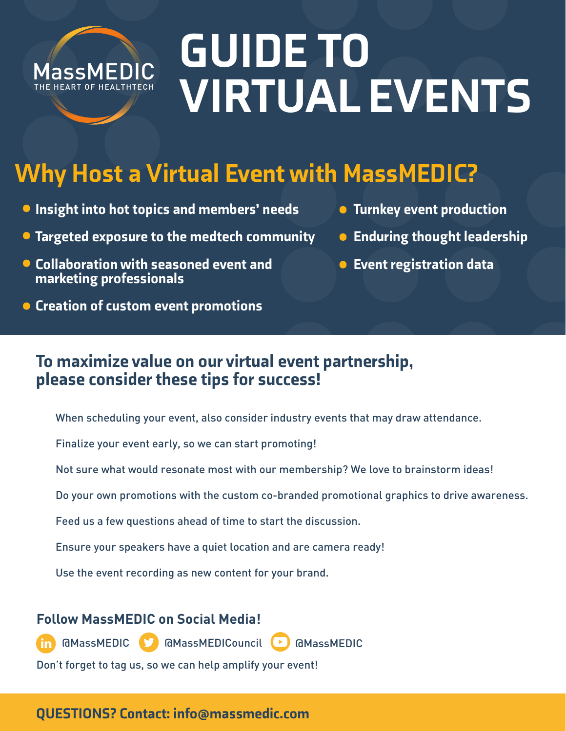

# GUIDE TO VIRTUAL EVENTS

## Why Host a Virtual Event with MassMEDIC?

- **Insight into hot topics and members' needs**
- **Targeted exposure to the medtech community**
- Collaboration with seasoned event and marketing professionals
- **Creation of custom event promotions**
- **Turnkey event production**
- **Enduring thought leadership**
- **Event registration data**

#### To maximize value on our virtual event partnership, please consider these tips for success!

- When scheduling your event, also consider industry events that may draw attendance.
- Finalize your event early, so we can start promoting!
- Not sure what would resonate most with our membership? We love to brainstorm ideas!
- Do your own promotions with the custom co-branded promotional graphics to drive awareness.
- Feed us a few questions ahead of time to start the discussion.
- Ensure your speakers have a quiet location and are camera ready!
- Use the event recording as new content for your brand.

#### **Follow MassMEDIC on Social Media!**



Don't forget to tag us, so we can help amplify your event!

#### QUESTIONS? Contact: info@massmedic.com